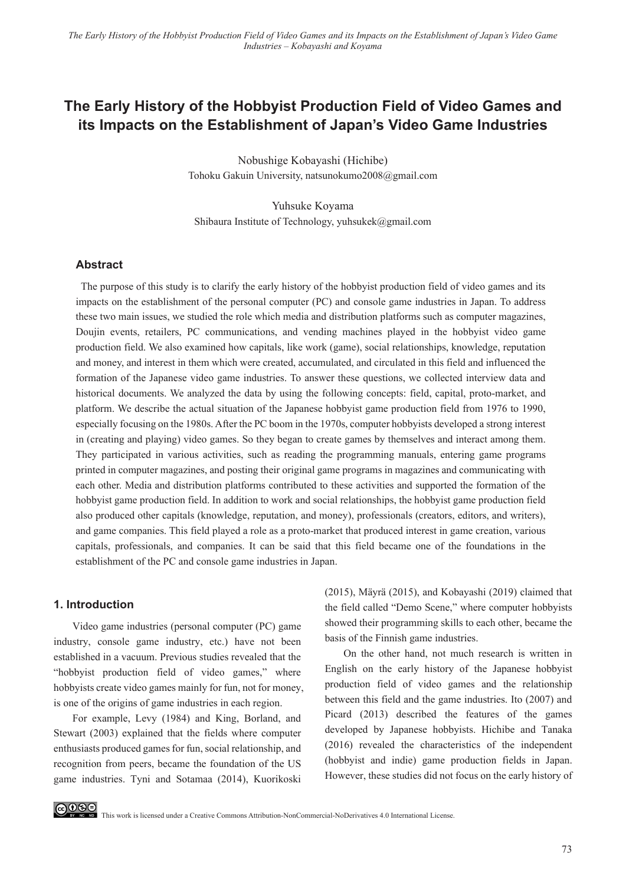# **The Early History of the Hobbyist Production Field of Video Games and its Impacts on the Establishment of Japan's Video Game Industries**

Nobushige Kobayashi (Hichibe) Tohoku Gakuin University, natsunokumo2008@gmail.com

Yuhsuke Koyama Shibaura Institute of Technology, yuhsukek@gmail.com

### **Abstract**

The purpose of this study is to clarify the early history of the hobbyist production field of video games and its impacts on the establishment of the personal computer (PC) and console game industries in Japan. To address these two main issues, we studied the role which media and distribution platforms such as computer magazines, Doujin events, retailers, PC communications, and vending machines played in the hobbyist video game production field. We also examined how capitals, like work (game), social relationships, knowledge, reputation and money, and interest in them which were created, accumulated, and circulated in this field and influenced the formation of the Japanese video game industries. To answer these questions, we collected interview data and historical documents. We analyzed the data by using the following concepts: field, capital, proto-market, and platform. We describe the actual situation of the Japanese hobbyist game production field from 1976 to 1990, especially focusing on the 1980s. After the PC boom in the 1970s, computer hobbyists developed a strong interest in (creating and playing) video games. So they began to create games by themselves and interact among them. They participated in various activities, such as reading the programming manuals, entering game programs printed in computer magazines, and posting their original game programs in magazines and communicating with each other. Media and distribution platforms contributed to these activities and supported the formation of the hobbyist game production field. In addition to work and social relationships, the hobbyist game production field also produced other capitals (knowledge, reputation, and money), professionals (creators, editors, and writers), and game companies. This field played a role as a proto-market that produced interest in game creation, various capitals, professionals, and companies. It can be said that this field became one of the foundations in the establishment of the PC and console game industries in Japan.

### **1. Introduction**

Video game industries (personal computer (PC) game industry, console game industry, etc.) have not been established in a vacuum. Previous studies revealed that the "hobbyist production field of video games," where hobbyists create video games mainly for fun, not for money, is one of the origins of game industries in each region.

For example, Levy (1984) and King, Borland, and Stewart (2003) explained that the fields where computer enthusiasts produced games for fun, social relationship, and recognition from peers, became the foundation of the US game industries. Tyni and Sotamaa (2014), Kuorikoski (2015), Mäyrä (2015), and Kobayashi (2019) claimed that the field called "Demo Scene," where computer hobbyists showed their programming skills to each other, became the basis of the Finnish game industries.

On the other hand, not much research is written in English on the early history of the Japanese hobbyist production field of video games and the relationship between this field and the game industries. Ito (2007) and Picard (2013) described the features of the games developed by Japanese hobbyists. Hichibe and Tanaka (2016) revealed the characteristics of the independent (hobbyist and indie) game production fields in Japan. However, these studies did not focus on the early history of

**CO OSE**<br>This work is licensed under a Creative Commons Attribution-NonCommercial-NoDerivatives 4.0 International License.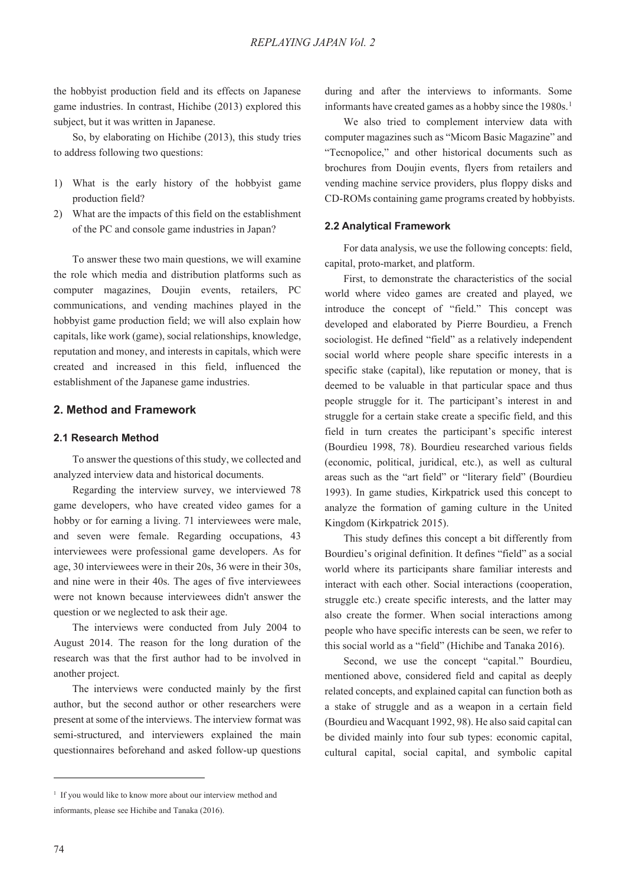the hobbyist production field and its effects on Japanese game industries. In contrast, Hichibe (2013) explored this subject, but it was written in Japanese.

So, by elaborating on Hichibe (2013), this study tries to address following two questions:

- 1) What is the early history of the hobbyist game production field?
- 2) What are the impacts of this field on the establishment of the PC and console game industries in Japan?

To answer these two main questions, we will examine the role which media and distribution platforms such as computer magazines, Doujin events, retailers, PC communications, and vending machines played in the hobbyist game production field; we will also explain how capitals, like work (game), social relationships, knowledge, reputation and money, and interests in capitals, which were created and increased in this field, influenced the establishment of the Japanese game industries.

# **2. Method and Framework**

### **2.1 Research Method**

To answer the questions of this study, we collected and analyzed interview data and historical documents.

Regarding the interview survey, we interviewed 78 game developers, who have created video games for a hobby or for earning a living. 71 interviewees were male, and seven were female. Regarding occupations, 43 interviewees were professional game developers. As for age, 30 interviewees were in their 20s, 36 were in their 30s, and nine were in their 40s. The ages of five interviewees were not known because interviewees didn't answer the question or we neglected to ask their age.

The interviews were conducted from July 2004 to August 2014. The reason for the long duration of the research was that the first author had to be involved in another project.

The interviews were conducted mainly by the first author, but the second author or other researchers were present at some of the interviews. The interview format was semi-structured, and interviewers explained the main questionnaires beforehand and asked follow-up questions

during and after the interviews to informants. Some informants have created games as a hobby since the  $1980s$ .<sup>1</sup>

We also tried to complement interview data with computer magazines such as "Micom Basic Magazine" and "Tecnopolice," and other historical documents such as brochures from Doujin events, flyers from retailers and vending machine service providers, plus floppy disks and CD-ROMs containing game programs created by hobbyists.

#### **2.2 Analytical Framework**

For data analysis, we use the following concepts: field, capital, proto-market, and platform.

First, to demonstrate the characteristics of the social world where video games are created and played, we introduce the concept of "field." This concept was developed and elaborated by Pierre Bourdieu, a French sociologist. He defined "field" as a relatively independent social world where people share specific interests in a specific stake (capital), like reputation or money, that is deemed to be valuable in that particular space and thus people struggle for it. The participant's interest in and struggle for a certain stake create a specific field, and this field in turn creates the participant's specific interest (Bourdieu 1998, 78). Bourdieu researched various fields (economic, political, juridical, etc.), as well as cultural areas such as the "art field" or "literary field" (Bourdieu 1993). In game studies, Kirkpatrick used this concept to analyze the formation of gaming culture in the United Kingdom (Kirkpatrick 2015).

This study defines this concept a bit differently from Bourdieu's original definition. It defines "field" as a social world where its participants share familiar interests and interact with each other. Social interactions (cooperation, struggle etc.) create specific interests, and the latter may also create the former. When social interactions among people who have specific interests can be seen, we refer to this social world as a "field" (Hichibe and Tanaka 2016).

Second, we use the concept "capital." Bourdieu, mentioned above, considered field and capital as deeply related concepts, and explained capital can function both as a stake of struggle and as a weapon in a certain field (Bourdieu and Wacquant 1992, 98). He also said capital can be divided mainly into four sub types: economic capital, cultural capital, social capital, and symbolic capital

<sup>&</sup>lt;sup>1</sup> If you would like to know more about our interview method and informants, please see Hichibe and Tanaka (2016).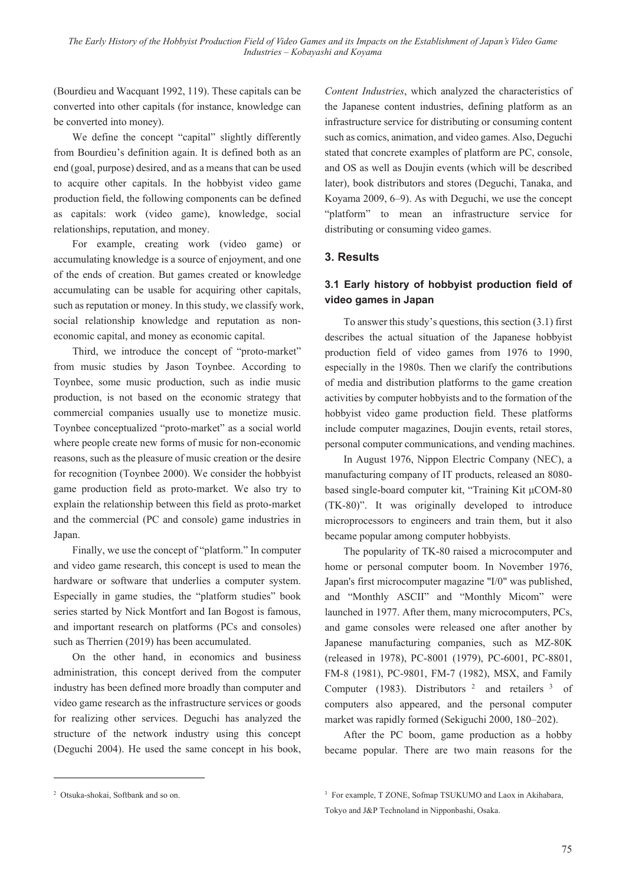(Bourdieu and Wacquant 1992, 119). These capitals can be converted into other capitals (for instance, knowledge can be converted into money).

We define the concept "capital" slightly differently from Bourdieu's definition again. It is defined both as an end (goal, purpose) desired, and as a means that can be used to acquire other capitals. In the hobbyist video game production field, the following components can be defined as capitals: work (video game), knowledge, social relationships, reputation, and money.

For example, creating work (video game) or accumulating knowledge is a source of enjoyment, and one of the ends of creation. But games created or knowledge accumulating can be usable for acquiring other capitals, such as reputation or money. In this study, we classify work, social relationship knowledge and reputation as noneconomic capital, and money as economic capital.

Third, we introduce the concept of "proto-market" from music studies by Jason Toynbee. According to Toynbee, some music production, such as indie music production, is not based on the economic strategy that commercial companies usually use to monetize music. Toynbee conceptualized "proto-market" as a social world where people create new forms of music for non-economic reasons, such as the pleasure of music creation or the desire for recognition (Toynbee 2000). We consider the hobbyist game production field as proto-market. We also try to explain the relationship between this field as proto-market and the commercial (PC and console) game industries in Japan.

Finally, we use the concept of "platform." In computer and video game research, this concept is used to mean the hardware or software that underlies a computer system. Especially in game studies, the "platform studies" book series started by Nick Montfort and Ian Bogost is famous, and important research on platforms (PCs and consoles) such as Therrien (2019) has been accumulated.

On the other hand, in economics and business administration, this concept derived from the computer industry has been defined more broadly than computer and video game research as the infrastructure services or goods for realizing other services. Deguchi has analyzed the structure of the network industry using this concept (Deguchi 2004). He used the same concept in his book,

*Content Industries*, which analyzed the characteristics of the Japanese content industries, defining platform as an infrastructure service for distributing or consuming content such as comics, animation, and video games. Also, Deguchi stated that concrete examples of platform are PC, console, and OS as well as Doujin events (which will be described later), book distributors and stores (Deguchi, Tanaka, and Koyama 2009, 6–9). As with Deguchi, we use the concept "platform" to mean an infrastructure service for distributing or consuming video games.

# **3. Results**

# **3.1 Early history of hobbyist production field of video games in Japan**

To answer this study's questions, this section (3.1) first describes the actual situation of the Japanese hobbyist production field of video games from 1976 to 1990, especially in the 1980s. Then we clarify the contributions of media and distribution platforms to the game creation activities by computer hobbyists and to the formation of the hobbyist video game production field. These platforms include computer magazines, Doujin events, retail stores, personal computer communications, and vending machines.

In August 1976, Nippon Electric Company (NEC), a manufacturing company of IT products, released an 8080 based single-board computer kit, "Training Kit µCOM-80 (TK-80)". It was originally developed to introduce microprocessors to engineers and train them, but it also became popular among computer hobbyists.

The popularity of TK-80 raised a microcomputer and home or personal computer boom. In November 1976, Japan's first microcomputer magazine "I/0" was published, and "Monthly ASCII" and "Monthly Micom" were launched in 1977. After them, many microcomputers, PCs, and game consoles were released one after another by Japanese manufacturing companies, such as MZ-80K (released in 1978), PC-8001 (1979), PC-6001, PC-8801, FM-8 (1981), PC-9801, FM-7 (1982), MSX, and Family Computer (1983). Distributors <sup>2</sup> and retailers <sup>3</sup> of computers also appeared, and the personal computer market was rapidly formed (Sekiguchi 2000, 180–202).

After the PC boom, game production as a hobby became popular. There are two main reasons for the

<sup>2</sup> Otsuka-shokai, Softbank and so on.

<sup>&</sup>lt;sup>3</sup> For example, T ZONE, Sofmap TSUKUMO and Laox in Akihabara, Tokyo and J&P Technoland in Nipponbashi, Osaka.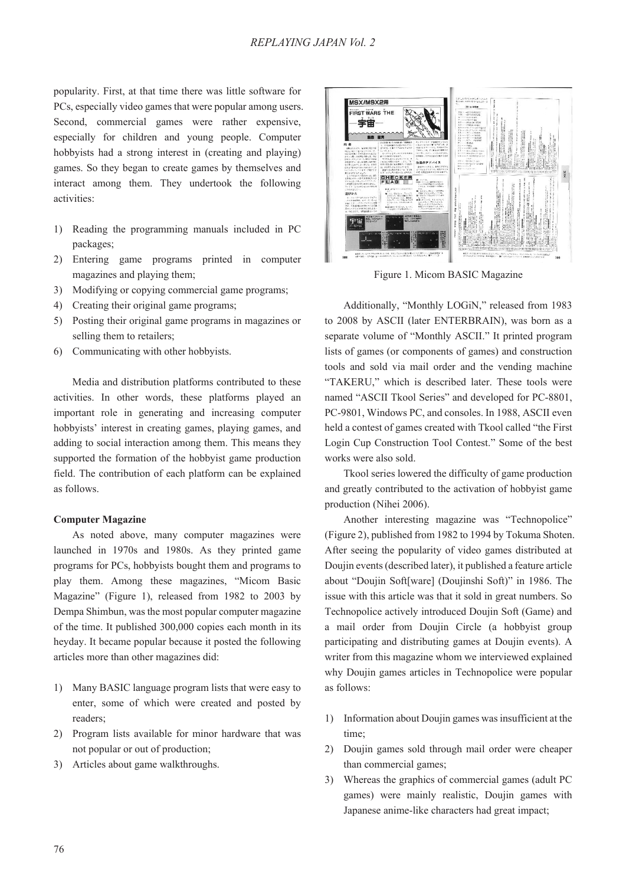popularity. First, at that time there was little software for PCs, especially video games that were popular among users. Second, commercial games were rather expensive, especially for children and young people. Computer hobbyists had a strong interest in (creating and playing) games. So they began to create games by themselves and interact among them. They undertook the following activities:

- 1) Reading the programming manuals included in PC packages;
- 2) Entering game programs printed in computer magazines and playing them;
- 3) Modifying or copying commercial game programs;
- 4) Creating their original game programs;
- 5) Posting their original game programs in magazines or selling them to retailers;
- 6) Communicating with other hobbyists.

Media and distribution platforms contributed to these activities. In other words, these platforms played an important role in generating and increasing computer hobbyists' interest in creating games, playing games, and adding to social interaction among them. This means they supported the formation of the hobbyist game production field. The contribution of each platform can be explained as follows.

#### **Computer Magazine**

As noted above, many computer magazines were launched in 1970s and 1980s. As they printed game programs for PCs, hobbyists bought them and programs to play them. Among these magazines, "Micom Basic Magazine" (Figure 1), released from 1982 to 2003 by Dempa Shimbun, was the most popular computer magazine of the time. It published 300,000 copies each month in its heyday. It became popular because it posted the following articles more than other magazines did:

- 1) Many BASIC language program lists that were easy to enter, some of which were created and posted by readers;
- 2) Program lists available for minor hardware that was not popular or out of production;
- 3) Articles about game walkthroughs.



Figure 1. Micom BASIC Magazine

Additionally, "Monthly LOGiN," released from 1983 to 2008 by ASCII (later ENTERBRAIN), was born as a separate volume of "Monthly ASCII." It printed program lists of games (or components of games) and construction tools and sold via mail order and the vending machine "TAKERU," which is described later. These tools were named "ASCII Tkool Series" and developed for PC-8801, PC-9801, Windows PC, and consoles. In 1988, ASCII even held a contest of games created with Tkool called "the First Login Cup Construction Tool Contest." Some of the best works were also sold.

Tkool series lowered the difficulty of game production and greatly contributed to the activation of hobbyist game production (Nihei 2006).

Another interesting magazine was "Technopolice" (Figure 2), published from 1982 to 1994 by Tokuma Shoten. After seeing the popularity of video games distributed at Doujin events (described later), it published a feature article about "Doujin Soft[ware] (Doujinshi Soft)" in 1986. The issue with this article was that it sold in great numbers. So Technopolice actively introduced Doujin Soft (Game) and a mail order from Doujin Circle (a hobbyist group participating and distributing games at Doujin events). A writer from this magazine whom we interviewed explained why Doujin games articles in Technopolice were popular as follows:

- 1) Information about Doujin games was insufficient at the time;
- 2) Doujin games sold through mail order were cheaper than commercial games;
- 3) Whereas the graphics of commercial games (adult PC games) were mainly realistic, Doujin games with Japanese anime-like characters had great impact;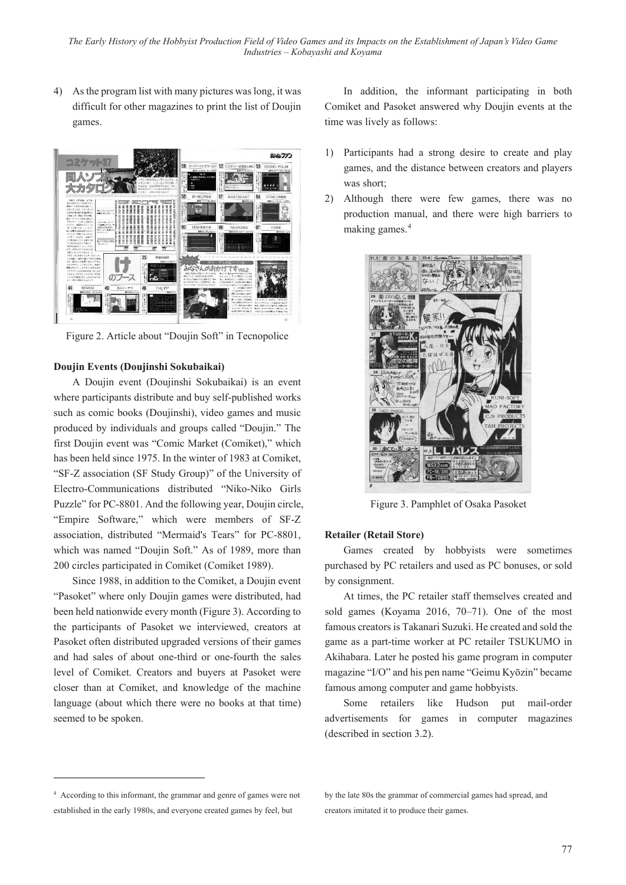4) As the program list with many pictures was long, it was difficult for other magazines to print the list of Doujin games.



Figure 2. Article about "Doujin Soft" in Tecnopolice

# **Doujin Events (Doujinshi Sokubaikai)**

A Doujin event (Doujinshi Sokubaikai) is an event where participants distribute and buy self-published works such as comic books (Doujinshi), video games and music produced by individuals and groups called "Doujin." The first Doujin event was "Comic Market (Comiket)," which has been held since 1975. In the winter of 1983 at Comiket, "SF-Z association (SF Study Group)" of the University of Electro-Communications distributed "Niko-Niko Girls Puzzle" for PC-8801. And the following year, Doujin circle, "Empire Software," which were members of SF-Z association, distributed "Mermaid's Tears" for PC-8801, which was named "Doujin Soft." As of 1989, more than 200 circles participated in Comiket (Comiket 1989).

Since 1988, in addition to the Comiket, a Doujin event "Pasoket" where only Doujin games were distributed, had been held nationwide every month (Figure 3). According to the participants of Pasoket we interviewed, creators at Pasoket often distributed upgraded versions of their games and had sales of about one-third or one-fourth the sales level of Comiket. Creators and buyers at Pasoket were closer than at Comiket, and knowledge of the machine language (about which there were no books at that time) seemed to be spoken.

In addition, the informant participating in both Comiket and Pasoket answered why Doujin events at the time was lively as follows:

- 1) Participants had a strong desire to create and play games, and the distance between creators and players was short;
- 2) Although there were few games, there was no production manual, and there were high barriers to making games.<sup>4</sup>



Figure 3. Pamphlet of Osaka Pasoket

### **Retailer (Retail Store)**

Games created by hobbyists were sometimes purchased by PC retailers and used as PC bonuses, or sold by consignment.

At times, the PC retailer staff themselves created and sold games (Koyama 2016, 70–71). One of the most famous creators is Takanari Suzuki. He created and sold the game as a part-time worker at PC retailer TSUKUMO in Akihabara. Later he posted his game program in computer magazine "I/O" and his pen name "Geimu Kyōzin" became famous among computer and game hobbyists.

Some retailers like Hudson put mail-order advertisements for games in computer magazines (described in section 3.2).

<sup>4</sup> According to this informant, the grammar and genre of games were not established in the early 1980s, and everyone created games by feel, but

by the late 80s the grammar of commercial games had spread, and creators imitated it to produce their games.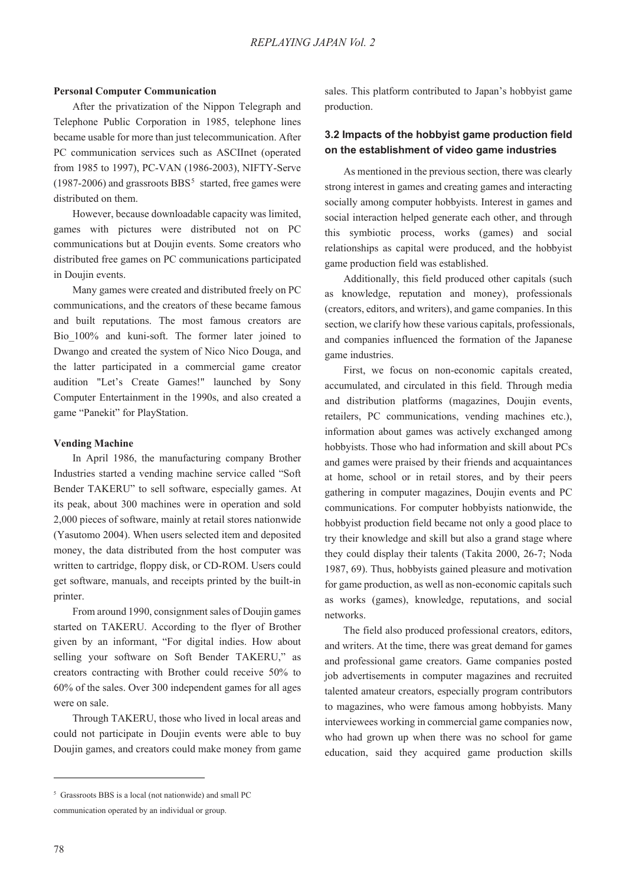#### **Personal Computer Communication**

After the privatization of the Nippon Telegraph and Telephone Public Corporation in 1985, telephone lines became usable for more than just telecommunication. After PC communication services such as ASCIInet (operated from 1985 to 1997), PC-VAN (1986-2003), NIFTY-Serve  $(1987-2006)$  and grassroots BBS<sup>5</sup> started, free games were distributed on them.

However, because downloadable capacity was limited, games with pictures were distributed not on PC communications but at Doujin events. Some creators who distributed free games on PC communications participated in Doujin events.

Many games were created and distributed freely on PC communications, and the creators of these became famous and built reputations. The most famous creators are Bio\_100% and kuni-soft. The former later joined to Dwango and created the system of Nico Nico Douga, and the latter participated in a commercial game creator audition "Let's Create Games!" launched by Sony Computer Entertainment in the 1990s, and also created a game "Panekit" for PlayStation.

#### **Vending Machine**

In April 1986, the manufacturing company Brother Industries started a vending machine service called "Soft Bender TAKERU" to sell software, especially games. At its peak, about 300 machines were in operation and sold 2,000 pieces of software, mainly at retail stores nationwide (Yasutomo 2004). When users selected item and deposited money, the data distributed from the host computer was written to cartridge, floppy disk, or CD-ROM. Users could get software, manuals, and receipts printed by the built-in printer.

From around 1990, consignment sales of Doujin games started on TAKERU. According to the flyer of Brother given by an informant, "For digital indies. How about selling your software on Soft Bender TAKERU," as creators contracting with Brother could receive 50% to 60% of the sales. Over 300 independent games for all ages were on sale.

Through TAKERU, those who lived in local areas and could not participate in Doujin events were able to buy Doujin games, and creators could make money from game

sales. This platform contributed to Japan's hobbyist game production.

# **3.2 Impacts of the hobbyist game production field on the establishment of video game industries**

As mentioned in the previous section, there was clearly strong interest in games and creating games and interacting socially among computer hobbyists. Interest in games and social interaction helped generate each other, and through this symbiotic process, works (games) and social relationships as capital were produced, and the hobbyist game production field was established.

Additionally, this field produced other capitals (such as knowledge, reputation and money), professionals (creators, editors, and writers), and game companies. In this section, we clarify how these various capitals, professionals, and companies influenced the formation of the Japanese game industries.

First, we focus on non-economic capitals created, accumulated, and circulated in this field. Through media and distribution platforms (magazines, Doujin events, retailers, PC communications, vending machines etc.), information about games was actively exchanged among hobbyists. Those who had information and skill about PCs and games were praised by their friends and acquaintances at home, school or in retail stores, and by their peers gathering in computer magazines, Doujin events and PC communications. For computer hobbyists nationwide, the hobbyist production field became not only a good place to try their knowledge and skill but also a grand stage where they could display their talents (Takita 2000, 26-7; Noda 1987, 69). Thus, hobbyists gained pleasure and motivation for game production, as well as non-economic capitals such as works (games), knowledge, reputations, and social networks.

The field also produced professional creators, editors, and writers. At the time, there was great demand for games and professional game creators. Game companies posted job advertisements in computer magazines and recruited talented amateur creators, especially program contributors to magazines, who were famous among hobbyists. Many interviewees working in commercial game companies now, who had grown up when there was no school for game education, said they acquired game production skills

<sup>5</sup> Grassroots BBS is a local (not nationwide) and small PC

communication operated by an individual or group.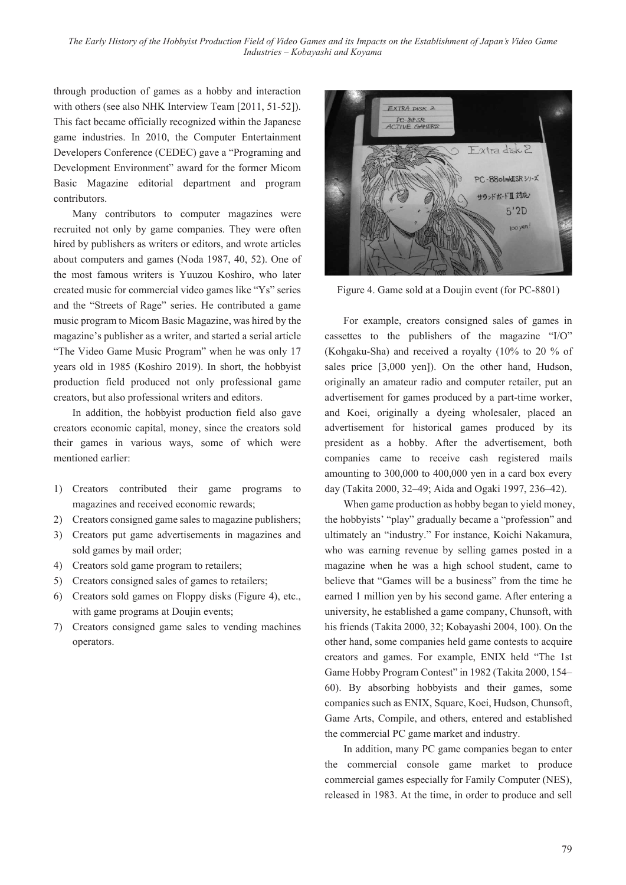*The Early History of the Hobbyist Production Field of Video Games and its Impacts on the Establishment of Japan's Video Game Industries – Kobayashi and Koyama*

through production of games as a hobby and interaction with others (see also NHK Interview Team [2011, 51-52]). This fact became officially recognized within the Japanese game industries. In 2010, the Computer Entertainment Developers Conference (CEDEC) gave a "Programing and Development Environment" award for the former Micom Basic Magazine editorial department and program contributors.

Many contributors to computer magazines were recruited not only by game companies. They were often hired by publishers as writers or editors, and wrote articles about computers and games (Noda 1987, 40, 52). One of the most famous writers is Yuuzou Koshiro, who later created music for commercial video games like "Ys" series and the "Streets of Rage" series. He contributed a game music program to Micom Basic Magazine, was hired by the magazine's publisher as a writer, and started a serial article "The Video Game Music Program" when he was only 17 years old in 1985 (Koshiro 2019). In short, the hobbyist production field produced not only professional game creators, but also professional writers and editors.

In addition, the hobbyist production field also gave creators economic capital, money, since the creators sold their games in various ways, some of which were mentioned earlier:

- 1) Creators contributed their game programs to magazines and received economic rewards;
- 2) Creators consigned game sales to magazine publishers;
- 3) Creators put game advertisements in magazines and sold games by mail order;
- 4) Creators sold game program to retailers;
- 5) Creators consigned sales of games to retailers;
- 6) Creators sold games on Floppy disks (Figure 4), etc., with game programs at Doujin events;
- 7) Creators consigned game sales to vending machines operators.



Figure 4. Game sold at a Doujin event (for PC-8801)

For example, creators consigned sales of games in cassettes to the publishers of the magazine "I/O" (Kohgaku-Sha) and received a royalty (10% to 20 % of sales price [3,000 yen]). On the other hand, Hudson, originally an amateur radio and computer retailer, put an advertisement for games produced by a part-time worker, and Koei, originally a dyeing wholesaler, placed an advertisement for historical games produced by its president as a hobby. After the advertisement, both companies came to receive cash registered mails amounting to 300,000 to 400,000 yen in a card box every day (Takita 2000, 32–49; Aida and Ogaki 1997, 236–42).

When game production as hobby began to yield money, the hobbyists' "play" gradually became a "profession" and ultimately an "industry." For instance, Koichi Nakamura, who was earning revenue by selling games posted in a magazine when he was a high school student, came to believe that "Games will be a business" from the time he earned 1 million yen by his second game. After entering a university, he established a game company, Chunsoft, with his friends (Takita 2000, 32; Kobayashi 2004, 100). On the other hand, some companies held game contests to acquire creators and games. For example, ENIX held "The 1st Game Hobby Program Contest" in 1982 (Takita 2000, 154– 60). By absorbing hobbyists and their games, some companies such as ENIX, Square, Koei, Hudson, Chunsoft, Game Arts, Compile, and others, entered and established the commercial PC game market and industry.

In addition, many PC game companies began to enter the commercial console game market to produce commercial games especially for Family Computer (NES), released in 1983. At the time, in order to produce and sell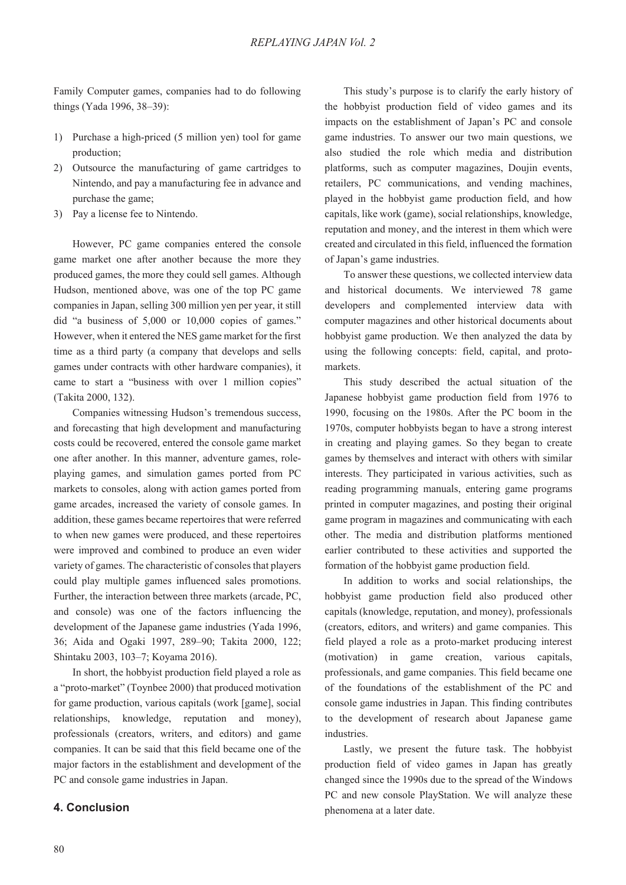Family Computer games, companies had to do following things (Yada 1996, 38–39):

- 1) Purchase a high-priced (5 million yen) tool for game production;
- 2) Outsource the manufacturing of game cartridges to Nintendo, and pay a manufacturing fee in advance and purchase the game;
- 3) Pay a license fee to Nintendo.

However, PC game companies entered the console game market one after another because the more they produced games, the more they could sell games. Although Hudson, mentioned above, was one of the top PC game companies in Japan, selling 300 million yen per year, it still did "a business of 5,000 or 10,000 copies of games." However, when it entered the NES game market for the first time as a third party (a company that develops and sells games under contracts with other hardware companies), it came to start a "business with over 1 million copies" (Takita 2000, 132).

Companies witnessing Hudson's tremendous success, and forecasting that high development and manufacturing costs could be recovered, entered the console game market one after another. In this manner, adventure games, roleplaying games, and simulation games ported from PC markets to consoles, along with action games ported from game arcades, increased the variety of console games. In addition, these games became repertoires that were referred to when new games were produced, and these repertoires were improved and combined to produce an even wider variety of games. The characteristic of consoles that players could play multiple games influenced sales promotions. Further, the interaction between three markets (arcade, PC, and console) was one of the factors influencing the development of the Japanese game industries (Yada 1996, 36; Aida and Ogaki 1997, 289–90; Takita 2000, 122; Shintaku 2003, 103–7; Koyama 2016).

In short, the hobbyist production field played a role as a "proto-market" (Toynbee 2000) that produced motivation for game production, various capitals (work [game], social relationships, knowledge, reputation and money), professionals (creators, writers, and editors) and game companies. It can be said that this field became one of the major factors in the establishment and development of the PC and console game industries in Japan.

#### **4. Conclusion**

This study's purpose is to clarify the early history of the hobbyist production field of video games and its impacts on the establishment of Japan's PC and console game industries. To answer our two main questions, we also studied the role which media and distribution platforms, such as computer magazines, Doujin events, retailers, PC communications, and vending machines, played in the hobbyist game production field, and how capitals, like work (game), social relationships, knowledge, reputation and money, and the interest in them which were created and circulated in this field, influenced the formation of Japan's game industries.

To answer these questions, we collected interview data and historical documents. We interviewed 78 game developers and complemented interview data with computer magazines and other historical documents about hobbyist game production. We then analyzed the data by using the following concepts: field, capital, and protomarkets.

This study described the actual situation of the Japanese hobbyist game production field from 1976 to 1990, focusing on the 1980s. After the PC boom in the 1970s, computer hobbyists began to have a strong interest in creating and playing games. So they began to create games by themselves and interact with others with similar interests. They participated in various activities, such as reading programming manuals, entering game programs printed in computer magazines, and posting their original game program in magazines and communicating with each other. The media and distribution platforms mentioned earlier contributed to these activities and supported the formation of the hobbyist game production field.

In addition to works and social relationships, the hobbyist game production field also produced other capitals (knowledge, reputation, and money), professionals (creators, editors, and writers) and game companies. This field played a role as a proto-market producing interest (motivation) in game creation, various capitals, professionals, and game companies. This field became one of the foundations of the establishment of the PC and console game industries in Japan. This finding contributes to the development of research about Japanese game industries.

Lastly, we present the future task. The hobbyist production field of video games in Japan has greatly changed since the 1990s due to the spread of the Windows PC and new console PlayStation. We will analyze these phenomena at a later date.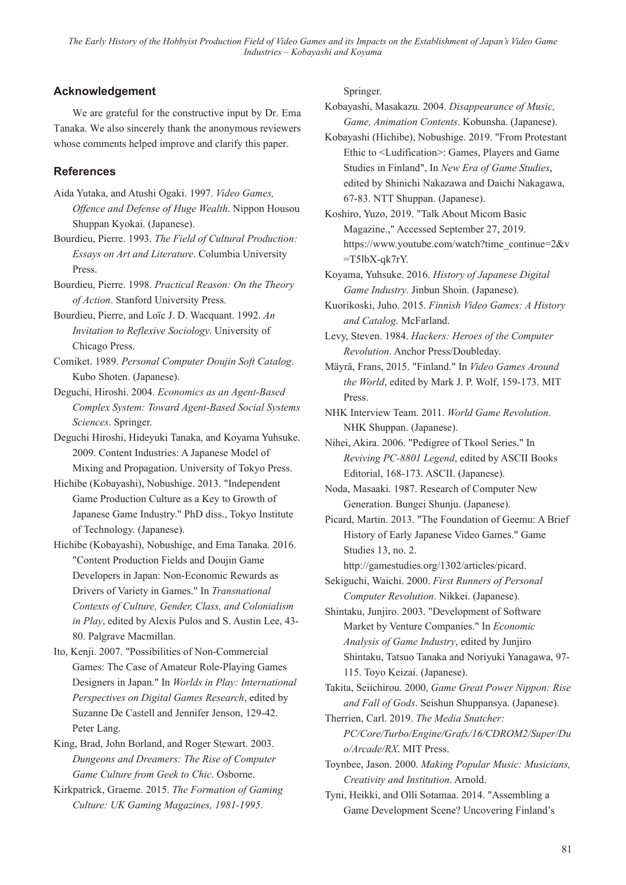*The Early History of the Hobbyist Production Field of Video Games and its Impacts on the Establishment of Japan's Video Game Industries – Kobayashi and Koyama*

## **Acknowledgement**

We are grateful for the constructive input by Dr. Ema Tanaka. We also sincerely thank the anonymous reviewers whose comments helped improve and clarify this paper.

### **References**

- Aida Yutaka, and Atushi Ogaki. 1997. *Video Games, Offence and Defense of Huge Wealth*. Nippon Housou Shuppan Kyokai. (Japanese).
- Bourdieu, Pierre. 1993. *The Field of Cultural Production: Essays on Art and Literature*. Columbia University Press.
- Bourdieu, Pierre. 1998. *Practical Reason: On the Theory of Action*. Stanford University Press.
- Bourdieu, Pierre, and Loïc J. D. Wacquant. 1992. *An Invitation to Reflexive Sociology*. University of Chicago Press.
- Comiket. 1989. *Personal Computer Doujin Soft Catalog*. Kubo Shoten. (Japanese).
- Deguchi, Hiroshi. 2004. *Economics as an Agent-Based Complex System: Toward Agent-Based Social Systems Sciences*. Springer.
- Deguchi Hiroshi, Hideyuki Tanaka, and Koyama Yuhsuke. 2009. Content Industries: A Japanese Model of Mixing and Propagation. University of Tokyo Press.
- Hichibe (Kobayashi), Nobushige. 2013. "Independent Game Production Culture as a Key to Growth of Japanese Game Industry." PhD diss., Tokyo Institute of Technology. (Japanese).
- Hichibe (Kobayashi), Nobushige, and Ema Tanaka. 2016. "Content Production Fields and Doujin Game Developers in Japan: Non-Economic Rewards as Drivers of Variety in Games." In *Transnational Contexts of Culture, Gender, Class, and Colonialism in Play*, edited by Alexis Pulos and S. Austin Lee, 43- 80. Palgrave Macmillan.
- Ito, Kenji. 2007. "Possibilities of Non-Commercial Games: The Case of Amateur Role-Playing Games Designers in Japan." In *Worlds in Play: International Perspectives on Digital Games Research*, edited by Suzanne De Castell and Jennifer Jenson, 129-42. Peter Lang.
- King, Brad, John Borland, and Roger Stewart. 2003. *Dungeons and Dreamers: The Rise of Computer Game Culture from Geek to Chic*. Osborne.
- Kirkpatrick, Graeme. 2015. *The Formation of Gaming Culture: UK Gaming Magazines, 1981-1995*.

Springer.

Kobayashi, Masakazu. 2004. *Disappearance of Music, Game, Animation Contents*. Kobunsha. (Japanese).

- Kobayashi (Hichibe), Nobushige. 2019. "From Protestant Ethic to <Ludification>: Games, Players and Game Studies in Finland", In *New Era of Game Studies*, edited by Shinichi Nakazawa and Daichi Nakagawa, 67-83. NTT Shuppan. (Japanese).
- Koshiro, Yuzo, 2019. "Talk About Micom Basic Magazine.," Accessed September 27, 2019. https://www.youtube.com/watch?time\_continue=2&v  $=T5lbX-qk7rY.$
- Koyama, Yuhsuke. 2016. *History of Japanese Digital Game Industry*. Jinbun Shoin. (Japanese).
- Kuorikoski, Juho. 2015. *Finnish Video Games: A History and Catalog*. McFarland.
- Levy, Steven. 1984. *Hackers: Heroes of the Computer Revolution*. Anchor Press/Doubleday.
- Mäyrä, Frans, 2015. "Finland." In *Video Games Around the World*, edited by Mark J. P. Wolf, 159-173. MIT Press.
- NHK Interview Team. 2011. *World Game Revolution*. NHK Shuppan. (Japanese).
- Nihei, Akira. 2006. "Pedigree of Tkool Series." In *Reviving PC-8801 Legend*, edited by ASCII Books Editorial, 168-173. ASCII. (Japanese).
- Noda, Masaaki. 1987. Research of Computer New Generation. Bungei Shunju. (Japanese).
- Picard, Martin. 2013. "The Foundation of Geemu: A Brief History of Early Japanese Video Games." Game Studies 13, no. 2.

http://gamestudies.org/1302/articles/picard.

Sekiguchi, Waichi. 2000. *First Runners of Personal Computer Revolution*. Nikkei. (Japanese).

Shintaku, Junjiro. 2003. "Development of Software Market by Venture Companies." In *Economic Analysis of Game Industry*, edited by Junjiro Shintaku, Tatsuo Tanaka and Noriyuki Yanagawa, 97- 115. Toyo Keizai. (Japanese).

Takita, Seiichirou. 2000, *Game Great Power Nippon: Rise and Fall of Gods*. Seishun Shuppansya. (Japanese).

- Therrien, Carl. 2019. *The Media Snatcher: PC/Core/Turbo/Engine/Grafx/16/CDROM2/Super/Du o/Arcade/RX*. MIT Press.
- Toynbee, Jason. 2000. *Making Popular Music: Musicians, Creativity and Institution*. Arnold.
- Tyni, Heikki, and Olli Sotamaa. 2014. "Assembling a Game Development Scene? Uncovering Finland's